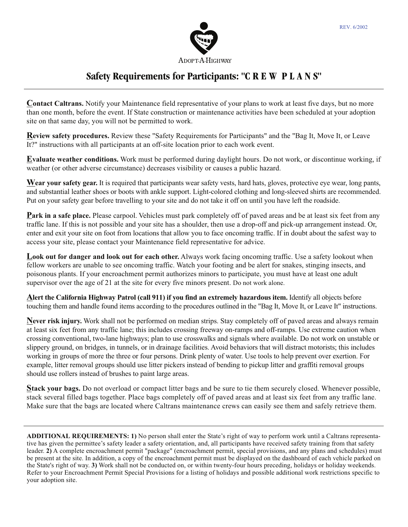

**Contact Caltrans.** Notify your Maintenance field representative of your plans to work at least five days, but no more than one month, before the event. If State construction or maintenance activities have been scheduled at your adoption site on that same day, you will not be permitted to work.

**Review safety procedures.** Review these "Safety Requirements for Participants" and the "Bag It, Move It, or Leave It?" instructions with all participants at an off-site location prior to each work event.

**Evaluate weather conditions.** Work must be performed during daylight hours. Do not work, or discontinue working, if weather (or other adverse circumstance) decreases visibility or causes a public hazard.

**Wear your safety gear.** It is required that participants wear safety vests, hard hats, gloves, protective eye wear, long pants, and substantial leather shoes or boots with ankle support. Light-colored clothing and long-sleeved shirts are recommended. Put on your safety gear before travelling to your site and do not take it off on until you have left the roadside.

**Park in a safe place.** Please carpool. Vehicles must park completely off of paved areas and be at least six feet from any traffic lane. If this is not possible and your site has a shoulder, then use a drop-off and pick-up arrangement instead. Or, enter and exit your site on foot from locations that allow you to face oncoming traffic. If in doubt about the safest way to access your site, please contact your Maintenance field representative for advice.

**Look out for danger and look out for each other.** Always work facing oncoming traffic. Use a safety lookout when fellow workers are unable to see oncoming traffic. Watch your footing and be alert for snakes, stinging insects, and poisonous plants. If your encroachment permit authorizes minors to participate, you must have at least one adult supervisor over the age of 21 at the site for every five minors present. Do not work alone.

**Alert the California Highway Patrol (call 911) if you find an extremely hazardous item.** Identify all objects before touching them and handle found items according to the procedures outlined in the "Bag It, Move It, or Leave It" instructions.

**Never risk injury.** Work shall not be performed on median strips. Stay completely off of paved areas and always remain at least six feet from any traffic lane; this includes crossing freeway on-ramps and off-ramps. Use extreme caution when crossing conventional, two-lane highways; plan to use crosswalks and signals where available. Do not work on unstable or slippery ground, on bridges, in tunnels, or in drainage facilities. Avoid behaviors that will distract motorists; this includes working in groups of more the three or four persons. Drink plenty of water. Use tools to help prevent over exertion. For example, litter removal groups should use litter pickers instead of bending to pickup litter and graffiti removal groups should use rollers instead of brushes to paint large areas.

**Stack your bags.** Do not overload or compact litter bags and be sure to tie them securely closed. Whenever possible, stack several filled bags together. Place bags completely off of paved areas and at least six feet from any traffic lane. Make sure that the bags are located where Caltrans maintenance crews can easily see them and safely retrieve them.

**ADDITIONAL REQUIREMENTS: 1)** No person shall enter the State's right of way to perform work until a Caltrans representative has given the permittee's safety leader a safety orientation, and, all participants have received safety training from that safety leader. **2)** A complete encroachment permit "package" (encroachment permit, special provisions, and any plans and schedules) must be present at the site. In addition, a copy of the encroachment permit must be displayed on the dashboard of each vehicle parked on the State's right of way. **3)** Work shall not be conducted on, or within twenty-four hours preceding, holidays or holiday weekends. Refer to your Encroachment Permit Special Provisions for a listing of holidays and possible additional work restrictions specific to your adoption site.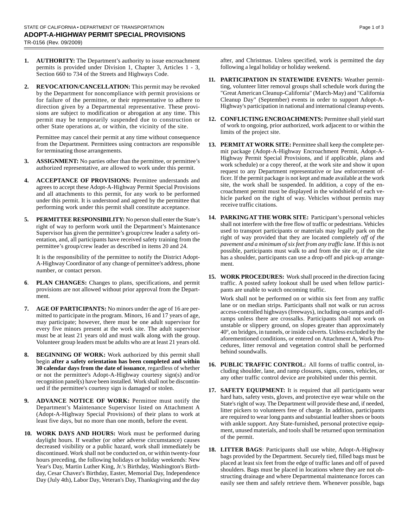- **1. AUTHORITY:** The Department's authority to issue encroachment permits is provided under Division 1, Chapter 3, Articles 1 - 3, Section 660 to 734 of the Streets and Highways Code.
- **2. REVOCATION/CANCELLATION:** This permit may be revoked by the Department for noncompliance with permit provisions or for failure of the permittee, or their representative to adhere to direction given by a Departmental representative. These provisions are subject to modification or abrogation at any time. This permit may be temporarily suspended due to construction or other State operations at, or within, the vicinity of the site.

Permittee may cancel their permit at any time without consequence from the Department. Permittees using contractors are responsible for terminating those arrangements.

- ASSIGNMENT: No parties other than the permittee, or permittee's authorized representative, are allowed to work under this permit.
- **4. ACCEPTANCE OF PROVISIONS:** Permittee understands and agrees to accept these Adopt-A-Highway Permit Special Provisions and all attachments to this permit, for any work to be performed under this permit. It is understood and agreed by the permittee that performing work under this permit shall constitute acceptance.
- **5. PERMITTEE RESPONSIBILITY:** No person shall enter the State's right of way to perform work until the Department's Maintenance Supervisor has given the permittee's group/crew leader a safety orientation, and, all participants have received safety training from the permittee's group/crew leader as described in items 20 and 24.

It is the responsibility of the permittee to notify the District Adopt-A-Highway Coordinator of any change of permittee's address, phone number, or contact person.

- **6**. **PLAN CHANGES:** Changes to plans, specifications, and permit provisions are not allowed without prior approval from the Department.
- **7. AGE OF PARTICIPANTS:** No minors under the age of 16 are permitted to participate in the program. Minors, 16 and 17 years of age, may participate; however, there must be one adult supervisor for every five minors present at the work site. The adult supervisor must be at least 21 years old and must walk along with the group. Volunteer group leaders must be adults who are at least 21 years old.
- **8. BEGINNING OF WORK:** Work authorized by this permit shall begin **after a safety orientation has been completed and within 30 calendar days from the date of issuance**, regardless of whether or not the permittee's Adopt-A-Highway courtesy sign(s) and/or recognition panel(s) have been installed. Work shall not be discontinued if the permittee's courtesy sign is damaged or stolen.
- **9.** ADVANCE NOTICE OF WORK: Permittee must notify the Department's Maintenance Supervisor listed on Attachment A (Adopt-A-Highway Special Provisions) of their plans to work at least five days, but no more than one month, before the event.
- **10. WORK DAYS AND HOURS:** Work must be performed during daylight hours. If weather (or other adverse circumstance) causes decreased visibility or a public hazard, work shall immediately be discontinued. Work shall not be conducted on, or within twenty-four hours preceding, the following holidays or holiday weekends: New Year's Day, Martin Luther King, Jr.'s Birthday, Washington's Birthday, Cesar Chavez's Birthday, Easter, Memorial Day, Independence Day (July 4th), Labor Day, Veteran's Day, Thanksgiving and the day

after, and Christmas. Unless specified, work is permitted the day following a legal holiday or holiday weekend.

- **11. PARTICIPATION IN STATEWIDE EVENTS:** Weather permitting, volunteer litter removal groups shall schedule work during the "Great American Cleanup-California" (March-May) and "California Cleanup Day" (September) events in order to support Adopt-A-Highway's participation in national and international cleanup events.
- **12. CONFLICTING ENCROACHMENTS:** Permittee shall yield start of work to ongoing, prior authorized, work adjacent to or within the limits of the project site.
- **13. PERMIT AT WORK SITE:** Permittee shall keep the complete permit package (Adopt-A-Highway Encroachment Permit, Adopt-A-Highway Permit Special Provisions, and if applicable, plans and work schedule) or a copy thereof, at the work site and show it upon request to any Department representative or law enforcement officer. If the permit package is not kept and made available at the work site, the work shall be suspended. In addition, a copy of the encroachment permit must be displayed in the windshield of each vehicle parked on the right of way. Vehicles without permits may receive traffic citations.
- **14. PARKING AT THE WORK SITE:** Participant's personal vehicles shall not interfere with the free flow of traffic or pedestrians. Vehicles used to transport participants or materials may legally park on the right of way provided that they are located completely *off of the pavement and a minimum of six feet from any traffic lane.* If this is not possible, participants must walk to and from the site or, if the site has a shoulder, participants can use a drop-off and pick-up arrangement.
- **15. WORK PROCEDURES:** Work shall proceed in the direction facing traffic. A posted safety lookout shall be used when fellow participants are unable to watch oncoming traffic.

Work shall not be performed on or within six feet from any traffic lane or on median strips. Participants shall not walk or run across access-controlled highways (freeways), including on-ramps and offramps unless there are crossalks. Participants shall not work on unstable or slippery ground, on slopes greater than approximately 40º, on bridges, in tunnels, or inside culverts. Unless excluded by the aforementioned conditions, or entered on Attachment A, Work Procedures, litter removal and vegetation control shall be performed behind soundwalls.

- **16. PUBLIC TRAFFIC CONTROL:** All forms of traffic control, including shoulder, lane, and ramp closures, signs, cones, vehicles, or any other traffic control device are prohibited under this permit.
- **17. SAFETY EQUIPMENT:** It is required that all participants wear hard hats, safety vests, gloves, and protective eye wear while on the State's right of way. The Department will provide these and, if needed, litter pickers to volunteers free of charge. In addition, participants are required to wear long pants and substantial leather shoes or boots with ankle support. Any State-furnished, personal protective equipment, unused materials, and tools shall be returned upon termination of the permit.
- **18. LITTER BAGS**: Participants shall use white, Adopt-A-Highway bags provided by the Department. Securely tied, filled bags must be placed at least six feet from the edge of traffic lanes and off of paved shoulders. Bags must be placed in locations where they are not obstructing drainage and where Departmental maintenance forces can easily see them and safely retrieve them. Whenever possible, bags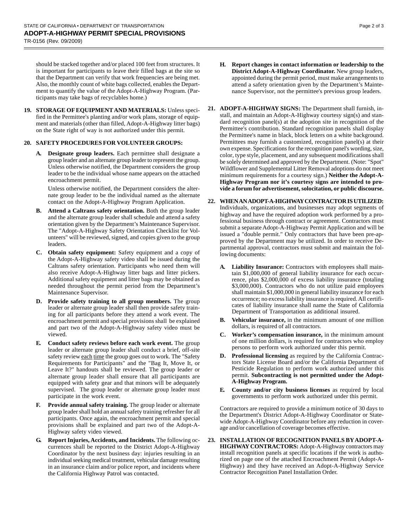should be stacked together and/or placed 100 feet from structures. It is important for participants to leave their filled bags at the site so that the Department can verify that work frequencies are being met. Also, the monthly count of white bags collected, enables the Department to quantify the value of the Adopt-A-Highway Program. (Participants may take bags of recyclables home.)

**19. STORAGE OF EQUIPMENT AND MATERIALS:** Unless specified in the Permittee's planting and/or work plans, storage of equipment and materials (other than filled, Adopt-A-Highway litter bags) on the State right of way is not authorized under this permit.

## **20. SAFETY PROCEDURES FOR VOLUNTEER GROUPS:**

**A. Designate group leaders.** Each permittee shall designate a group leader and an alternate group leader to represent the group. Unless otherwise notified, the Department considers the group leader to be the individual whose name appears on the attached encroachment permit.

Unless otherwise notified, the Department considers the alternate group leader to be the individual named as the alternate contact on the Adopt-A-Highway Program Application.

- **B. Attend a Caltrans safety orientation.** Both the group leader and the alternate group leader shall schedule and attend a safety orientation given by the Department's Maintenance Supervisor. The "Adopt-A-Highway Safety Orientation Checklist for Volunteers" will be reviewed, signed, and copies given to the group leaders.
- **C. Obtain safety equipment:** Safety equipment and a copy of the Adopt-A-Highway safety video shall be issued during the Caltrans safety orientation. Participants who need them will also receive Adopt-A-Highway litter bags and litter pickers. Additional safety equipment and litter bags may be obtained as needed throughout the permit period from the Department's Maintenance Supervisor.
- **D. Provide safety training to all group members.** The group leader or alternate group leader shall then provide safety training for all participants before they attend a work event. The encroachment permit and special provisions shall be explained and part two of the Adopt-A-Highway safety video must be viewed.
- **E. Conduct safety reviews before each work event.** The group leader or alternate group leader shall conduct a brief, off-site safety review each time the group goes out to work. The "Safety" Requirements for Participants" and the "Bag It, Move It, or Leave It?" handouts shall be reviewed. The group leader or alternate group leader shall ensure that all participants are equipped with safety gear and that minors will be adequately supervised. The group leader or alternate group leader must participate in the work event.
- **F. Provide annual safety training.** The group leader or alternate group leader shall hold an annual safety training refresher for all participants. Once again, the encroachment permit and special provisions shall be explained and part two of the Adopt-A-Highway safety video viewed.
- **G. Report Injuries, Accidents, and Incidents.** The following occurrences shall be reported to the District Adopt-A-Highway Coordinator by the next business day: injuries resulting in an individual seeking medical treatment, vehicular damage resulting in an insurance claim and/or police report, and incidents where the California Highway Patrol was contacted.
- 
- **H. Report changes in contact information or leadership to the District Adopt-A-Highway Coordinator.** New group leaders, appointed during the permit period, must make arrangements to attend a safety orientation given by the Department's Maintenance Supervisor, not the permittee's previous group leaders.
- **21. ADOPT-A-HIGHWAY SIGNS:** The Department shall furnish, install, and maintain an Adopt-A-Highway courtesy sign(s) and standard recognition panel(s) at the adoption site in recognition of the Permittee's contribution. Standard recognition panels shall display the Permittee's name in black, block letters on a white background. Permittees may furnish a customized, recognition panel(s) at their own expense. Specifications for the recognition panel's wording, size, color, type style, placement, and any subsequent modifications shall be solely determined and approved by the Department. (Note: "Spot" Wildflower and Supplemental Litter Removal adoptions do not meet minimum requirements for a courtesy sign.) **Neither the Adopt-A-Highway Program nor it's courtesy signs are intended to provide a forum for advertisement, solocitation, or public discourse.**
- **22. WHEN AN ADOPT-A-HIGHWAY CONTRACTOR IS UTILIZED:** Individuals, organizations, and businesses may adopt segments of highway and have the required adoption work performed by a professional business through contract or agreement. Contractors must submit a separate Adopt-A-Highway Permit Application and will be issued a "double permit." Only contractors that have been pre-approved by the Department may be utilized. In order to receive Departmental approval, contractors must submit and maintain the following documents:
	- **A. Liability Insurance:** Contractors with employees shall maintain \$1,000,000 of general liability insurance for each occurrence, plus \$2,000,000 of excess liability insurance (totaling \$3,000,000). Contractors who do not utilize paid employees shall maintain \$1,000,000 in general liability insurance for each occurrence; no excess liability insurance is required. All certificates of liability insurance shall name the State of California Department of Transportation as additional insured.
	- **B. Vehicular insurance,** in the minimum amount of one million dollars, is required of all contractors.
	- **C. Worker's compensation insurance,** in the minimum amount of one million dollars, is required for contractors who employ persons to perform work authorized under this permit.
	- **D. Professional licensing** as required by the California Contractors State License Board and/or the California Department of Pesticide Regulation to perform work authorized under this permit. **Subcontracting is not permitted under the Adopt-A-Highway Program.**
	- **E. County and/or city business licenses** as required by local governments to perform work authorized under this permit.

Contractors are required to provide a minimum notice of 30 days to the Department's District Adopt-A-Highway Coordinator or Statewide Adopt-A-Highway Coordinator before any reduction in coverage and/or cancellation of coverage becomes effective.

**23. INSTALLATION OF RECOGNITION PANELS BY ADOPT-A-HIGHWAY CONTRACTORS:** Adopt-A-Highway contractors may install recognition panels at specific locations if the work is authorized on page one of the attached Encroachment Permit (Adopt-A-Highway) and they have received an Adopt-A-Highway Service Contractor Recognition Panel Installation Order.